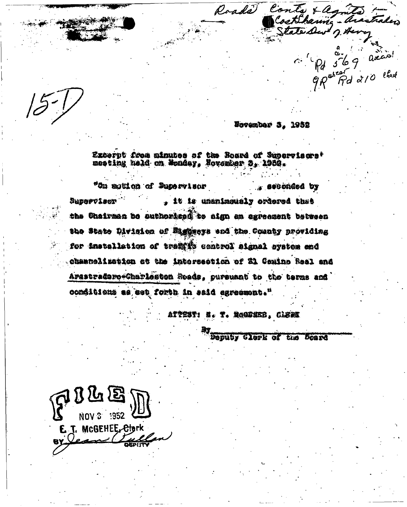November 3, 1952

Roads Conty + agricos - heartales

Excerpt from minutes of the Board of Supervisors'<br>meeting held on Wondey, Hovenber B, 1988.

"On aguion of Pupervisor . seconded by Supervisor . it is unanimously ordered that the Chairman be euthoricad to aign an agreement between the State Division of Eighers and the County providing for installation of traints control signal system and chaancelizetion at the intersection of 21 Coming Real and Arastradoro-Charleston Soads, pursuant to the terms and conditions as set forth in said agreement."

ATTEST: N. T. MOODKED, CLERK

Deputy Clerk of the Scard

 $\mathbb{C}^{100}$   $\mathbb{Z}^{100}$ r. MCGEHEE<del>, Clo</del>rk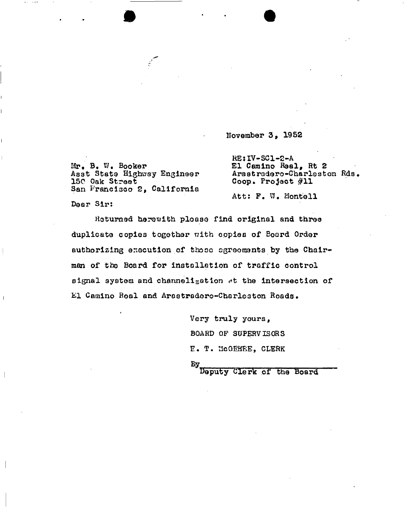November 3, 1952

Mr. B. W. Booker Asst State Highway Engineer 150 Oak Street San Prancisco 2, California

RE:IV-SC1~2-A El Camino Real, Rt 2 Arastradero-Charleston Rds Coop. Project #11

Att: P. Montell

Dear Sir;

Returned herewith ploase find original and three duplicate copies together with copies of Board Order authorizing execution of thoso ogreoments by the Chairman of the Board for installation of traffic control aignal system and channelisation st the intersection of El Camino Roal and Arastradero-Charleston Roads.

> Very truly yours, BOARD OP SUPERVISORS E. T. MCGEHEE, CLERK Eу

Deputy Clerk of the Board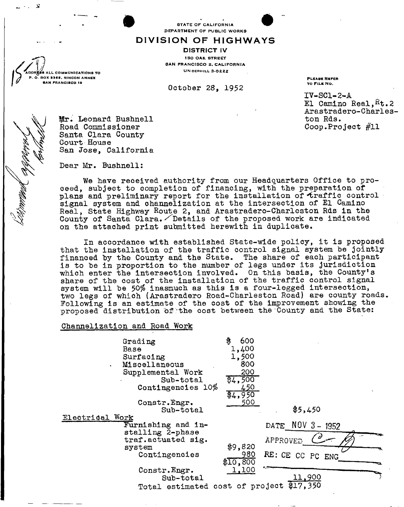STATE OF CALIFORNIA DEPARTMENT OF PUBLIC WORKS

## **DIVISIO N O F HIGHWAY S**

DISTRICT IV 180 OAK STREET SAN FRANCISCO 2, CALIFORNIA UN DERHILL 3-0222

October 28, 1952

PLBASS REFER TO FILE NO.

IV-SCI-2-A El Camino Real,  $Kt.2$ Arastradero-Charleston Rds. Coop.Project #11

Mr. Leonard Bushnell Road Commissioner Santa Clara County Court House

L COMMUNICATIONS TO BOX S9S6, RINCON ANNEX SAN FRANCISCO 19

j?

Dear Mr. Bushnell

San *Jose,* California

We have received authority from our Headquarters Office to proceed, subject to completion of financing, with the preparation of plans and preliminary report for the installation of traffic control signal system and channelization at the intersection of El Camino Real, State Highway Route 2, and Arastradero-Charleston Rds in the County of Santa Clara. *Details of the proposed work are indicated* on the attached print submitted herewith in duplicate.

In accordance with established State-wide policy, it is proposed that the installation of the traffic control signal system be jointly financed by the County and the State. The share of each participant is to be in proportion to the number of legs under its jurisdiction which enter the intersection involved. On this basis, the County's share of the cost of the installation of the traffic control signal system will be 50% inasmuch as this is a four-legged intersection, two legs of which (Arastradero Road-Charleston Road) are county roads. Following is an estimate of the cost of the improvement showing the proposed distribution of the cost between the County and the State:

## Channelization and Road Work

| ¥.              | Grading<br>Base<br>Surfacing<br>Miscellaneous<br>Supplemental Work<br>Sub-total<br>Contingencies 10%<br>Constr.Engr.<br>Sub-total | \$<br>600<br>1,400<br>1,500<br>800<br>200<br>\$4,500<br>450<br>\$4,950<br>500 | \$5,450          |
|-----------------|-----------------------------------------------------------------------------------------------------------------------------------|-------------------------------------------------------------------------------|------------------|
| Electrical Work |                                                                                                                                   |                                                                               |                  |
|                 | Furnishing and in-                                                                                                                |                                                                               | DATE NOV 3-1952  |
|                 | stalling 2-phase<br>traf.actuated sig.                                                                                            |                                                                               | APPROVED         |
|                 | system                                                                                                                            | \$9,820                                                                       |                  |
|                 | Contingencies                                                                                                                     | 980<br>\$10,800                                                               | RE: CE CC PC ENG |
|                 | Constr. Engr.                                                                                                                     | 1,100                                                                         |                  |
|                 | Sub-total                                                                                                                         |                                                                               | 11,900           |
|                 | Total estimated cost of project                                                                                                   |                                                                               | \$17,350         |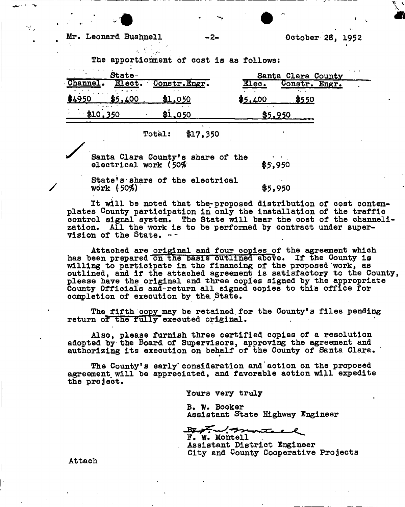**The apportionment of cost is as follows:** 

| State-                                                     |                                                    |                                       | $\cdot$ $\cdot$ $\cdot$<br>Santa Clara County |               |  |  |
|------------------------------------------------------------|----------------------------------------------------|---------------------------------------|-----------------------------------------------|---------------|--|--|
| Channel.<br>$\mathbf{u}$ and $\mathbf{v}$ and $\mathbf{v}$ |                                                    | Elect. Constr. Engr.<br>$\sim$ $\sim$ | Elec.                                         | Constr. Engr. |  |  |
| .<br>\$4950                                                | \$5,400<br>$\mathbf{v}$ . As a set of $\mathbf{v}$ | \$1,050                               | \$5,400                                       | \$550         |  |  |
| \$10,350                                                   |                                                    | \$1.050                               | .                                             |               |  |  |

**Total: \$17,350** 

Santa Clara County's share of the **electrical work (50% 65,950** 

**State<sup>1</sup>s-share of the electrical work (50%)**  $\frac{1}{2}$  **\$5,950** 

**It will be noted that the-proposed distribution of cost contemplates County participation in only the installation of the traffic control signal system. The State will bear the cost of the channelization. All the work is to be performed by contract under supervision of the State.** 

**Attached are original and four copies of the agreement which has been prepared on tne Dasis outlined aDove. If the County is willing to participate in the financing of the proposed work, as outlined, and if the attached agreement is satisfactory to the County, please have the original and three copies signed by the appropriate County Officials and-return all signed copies to this office for completion of execution by the. State.** 

The fifth copy may be retained for the County's files pending **return or tne ruiiy<sup>1</sup> executed original.** 

**Also, please furnish three certified copies of a resolution adopted by the Board of Supervisors, approving the agreement and authorizing its execution on behalf of the County of Santa Clara.** 

The County's early consideration and action on the proposed **agreement, will be appreciated, and favorable aotion will expedite the project.** 

**Yours very truly** 

**B. W. Booker Assistant State Highway Engineer** 

By Ful monte **F. W. Mont ell ^** 

**Assistant District Engineer City and County Cooperative Projects** 

**Attach**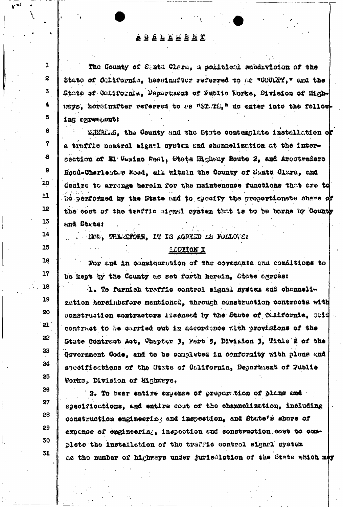## **AUALAMENT**

 $\mathbf{1}$ 

 $\mathbf{z}$ 

3

4

Б

8

 $\boldsymbol{7}$ 

 $\bf{8}$ 

9

10

 $11$ 

12

13

14

15

16

 $17$ 

18

 $19$ 

20

 $21<sup>1</sup>$ 

22

23

24

25

26

 $27$ 

28

29

30

31

The County of State Class, a political subdivision of the State of California, hereinsfeer referred to as "COUNTI." and the State of California, Department of Public Works, Division of Highuayo, horeinafter referred to as "ST. Th," do enter into the following agreemont:

Withing, the County and the State contemplate installation of a traffic control signal system and channelization at the intersection of El Comino Real, State Highway Boute 2, and Arentradero Road-Charlester Road, all within the County of Santa Clara, and desire to arrange herein for the maintenance functions that are to be performed by the State and to specify the proportionate share of the cost of the traffic signal system that is to be berne by County and State:

- NOW, TREACTORE, IT IS AGREED AS FOLLOVE:

## **LECTION I**

For and in consideration of the covenants and conditions to be kept by the County as set forth herein, State agrees:

1. To furnish traffic control signal system and channelization hereinbsfore mentioned, through construction contracts with construction combractors ilecnaed by the State of California, caid contract to be carried out in accordance with provisions of the State Contract Act, Chapter 3, Part 5, Division 3, Title 2 of the Government Code, and to be completed in conformity with plans and specifications of the State of California, Department of Public Works, Division of Highways.

2. To hear entire expense of preparation of plans and specifications, and entire cost of the channelization, including construction engineering and inspection, and State's share of expense of engineering, inspection and construction cost to completo the installation of the traffic control signal system as the number of highways under jurisdiction of the State which may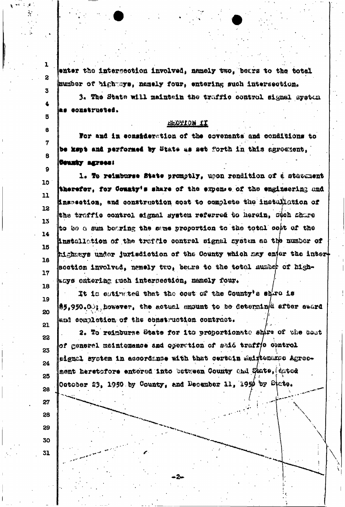enter the intersection involved, namely two, bears to the total mumber of highways, namely four, entering such intersection.

3. The State will meintain the traffic control signal system as oczstruoted.

**EL MOITON II** 

For and in consideration of the covenants and conditions to be kspt and performed by State as set forth in this agreement. County agrees:

1. To reimburse State promptly, upon rendition of a statument therefor, for County's share of the expense of the engineering and inspection, and construction sost to complete the installation of the traffic control signal system referred to herein, such share to be a sum bearing the same proportion to the total cost of the Anstallation of the traffic control signal system as the number of highneys under jurisdiction of the County which may enjer the interscetion involved, namely two, bears to the total number of highkays entering guch intersection, namely four.

It is estimated that the cost of the County's shire is 19  $\clubsuit$ 5,950.00; however, the actual amount to be determin/d after award 20 and completion of the construction contract. 21

2. To reinburse State for its proportionate shire of the bast of generel meintenance and operation of said traff(0 control eignal system in accordance with that certain melytename Agreement heretortere entered into between County and State, dated October 23, 1950 by County, and December 11, 1950 by State. 26

2.

27

 $\mathbf{1}$ 

 $\overline{2}$ 

 $\overline{\mathbf{3}}$ 

 $\ddot{\textbf{z}}$ 

5

6

7

8

9

10

11

12

13

14

16

16

 $17$ 

18

22

23

24

25

28 29

31

30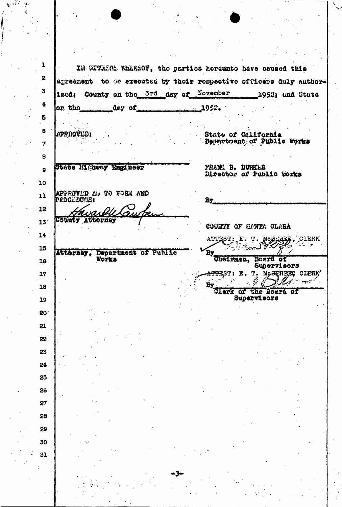ı IN WITKISE WhatSOF, the parties hereunto have saused this  $\mathbf{S}$ agreement to be executed by thoir respective officers duly author-3 ized: County on the 3rd day of November 1952; and State 4 on the day of 1952. 5 6 APPIRQVEDI State of Galifornia Department of Public Works 7 8 State Highway Engineer **FRANK B. DURKLE** 9 Director of Public Works 10 **APPROVID AS TO FORM AND** 11 proollourt Bу 12 mvas County Attorney  $13$ COUNTY OF SANTA CLARA 14 ATTEST; E. T. MCGELEE, CIERK 15 By Cheirman, Department of Public Atterney, Works Board of 16 Supervisors <del>ATTE</del>ST: E. T. MCGEHEEC CLERK' 17 مرسيها الم L. 44 Έy, 18 Clerk of the Board of Supervisors 19 20 21 22 23 24 25 26 27 28 29 30 31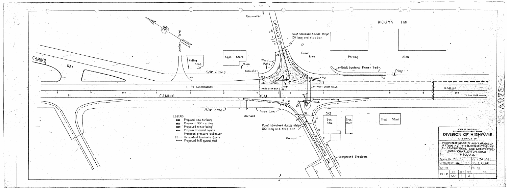